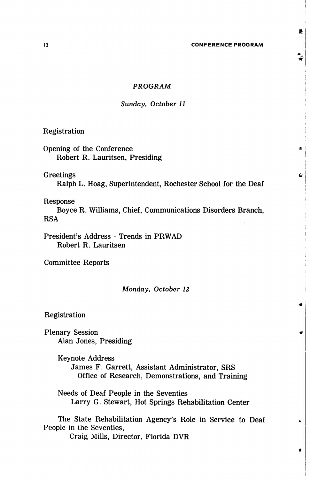Ø.

Ċ

# PROGRAM

### Sunday, October 11

Registration

Opening of the Conference Robert R. Lauritsen, Presiding

# Greetings

Ralph L. Hoag, Superintendent, Rochester School for the Deaf

## Response

Boyce R. Williams, Chief, Communications Disorders Branch, RSA

President's Address - Trends in PRWAD Robert R. Lauritsen

Committee Reports

#### Monday, October 12

Registration

Plenary Session Alan Jones, Presiding

> Keynote Address James F. Garrett, Assistant Administrator, SRS Office of Research, Demonstrations, and Training

Needs of Deaf People in the Seventies Larry G. Stewart, Hot Springs Rehabilitation Center

The State Rehabilitation Agency's Role in Service to Deaf People in the Seventies, Craig Mills, Director, Florida DVR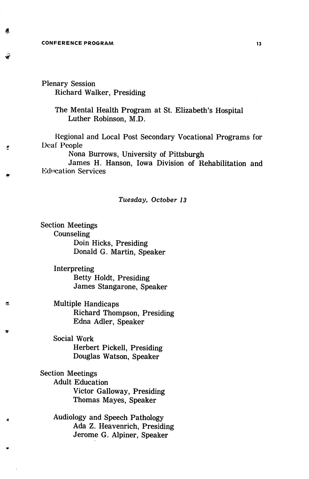#### CONFERENCE PROGRAM 2009 13

■if

Ğ,

쓰

Ŀ.

Plenary Session Richard Walker, Presiding

> The Mental Health Program at St. Elizabeth's Hospital Luther Robinson, M.D.

Regional and Local Post Secondary Vocational Programs for Deaf People

Nona Burrows, University of Pittsburgh

James H. Hanson, Iowa Division of Rehabilitation and **Education Services** 

## Tuesday, October 13

Section Meetings Counseling Doin Hicks, Presiding Donald G. Martin, Speaker

> Interpreting Betty Holdt, Presiding James Stangarone, Speaker

Multiple Handicaps Richard Thompson, Presiding Edna Adler, Speaker

Social Work Herbert Pickell, Presiding Douglas Watson, Speaker

Section Meetings Adult Education Victor Galloway, Presiding Thomas Mayes, Speaker

> Audiology and Speech Pathology Ada Z. Heavenrich, Presiding Jerome G. Alpiner, Speaker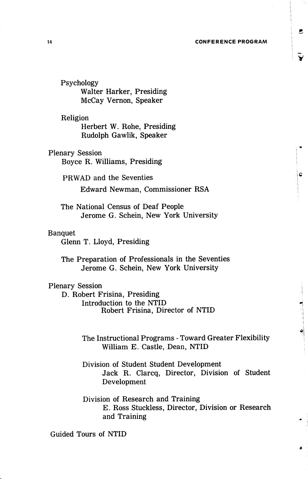#### 14 CONFERENCE PROGRAM

Psychology Walter Harker, Presiding McCay Vernon, Speaker

Religion Herbert W. Rohe, Presiding Rudolph Gawlik, Speaker

Plenary Session Boyce R. Williams, Presiding

> PRWAD and the Seventies Edward Newman, Commissioner RSA

The National Census of Deaf People Jerome G. Schein, New York University

# Banquet

Glenn T. Lloyd, Presiding

The Preparation of Professionals in the Seventies Jerome G. Schein, New York University

# Plenary Session

D. Robert Frisina, Presiding Introduction to the NTID Robert Frisina, Director of NTID

> The Instructional Programs - Toward Greater Flexibility William E. Castle, Dean, NTID

> Division of Student Student Development Jack R. Clarcq, Director, Division of Student Development

> Division of Research and Training E. Ross Stuckless, Director, Division or Research and Training

Guided Tours of NTID

B

¢

ام